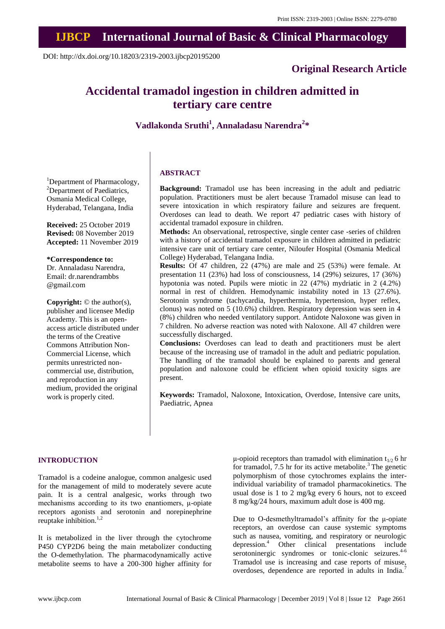## **IJBCP International Journal of Basic & Clinical Pharmacology**

DOI: http://dx.doi.org/10.18203/2319-2003.ijbcp20195200

### **Original Research Article**

# **Accidental tramadol ingestion in children admitted in tertiary care centre**

**Vadlakonda Sruthi<sup>1</sup> , Annaladasu Narendra<sup>2</sup> \***

<sup>1</sup>Department of Pharmacology, <sup>2</sup>Department of Paediatrics, Osmania Medical College, Hyderabad, Telangana, India

**Received:** 25 October 2019 **Revised:** 08 November 2019 **Accepted:** 11 November 2019

**\*Correspondence to:**

Dr. Annaladasu Narendra, Email: dr.narendrambbs @gmail.com

**Copyright:** © the author(s), publisher and licensee Medip Academy. This is an openaccess article distributed under the terms of the Creative Commons Attribution Non-Commercial License, which permits unrestricted noncommercial use, distribution, and reproduction in any medium, provided the original work is properly cited.

#### **ABSTRACT**

**Background:** Tramadol use has been increasing in the adult and pediatric population. Practitioners must be alert because Tramadol misuse can lead to severe intoxication in which respiratory failure and seizures are frequent. Overdoses can lead to death. We report 47 pediatric cases with history of accidental tramadol exposure in children.

**Methods:** An observational, retrospective, single center case -series of children with a history of accidental tramadol exposure in children admitted in pediatric intensive care unit of tertiary care center, Niloufer Hospital (Osmania Medical College) Hyderabad, Telangana India.

**Results:** Of 47 children, 22 (47%) are male and 25 (53%) were female. At presentation 11 (23%) had loss of consciousness, 14 (29%) seizures, 17 (36%) hypotonia was noted. Pupils were miotic in 22 (47%) mydriatic in 2 (4.2%) normal in rest of children. Hemodynamic instability noted in 13 (27.6%). Serotonin syndrome (tachycardia, hyperthermia, hypertension, hyper reflex, clonus) was noted on 5 (10.6%) children. Respiratory depression was seen in 4 (8%) children who needed ventilatory support. Antidote Naloxone was given in 7 children. No adverse reaction was noted with Naloxone. All 47 children were successfully discharged.

**Conclusions:** Overdoses can lead to death and practitioners must be alert because of the increasing use of tramadol in the adult and pediatric population. The handling of the tramadol should be explained to parents and general population and naloxone could be efficient when opioid toxicity signs are present.

**Keywords:** Tramadol, Naloxone, Intoxication, Overdose, Intensive care units, Paediatric, Apnea

#### **INTRODUCTION**

Tramadol is a codeine analogue, common analgesic used for the management of mild to moderately severe acute pain. It is a central analgesic, works through two mechanisms according to its two enantiomers, μ-opiate receptors agonists and serotonin and norepinephrine reuptake inhibition. $1,2$ 

It is metabolized in the liver through the cytochrome P450 CYP2D6 being the main metabolizer conducting the O-demethylation. The pharmacodynamically active metabolite seems to have a 200-300 higher affinity for μ-opioid receptors than tramadol with elimination  $t_{1/2}$  6 hr for tramadol, 7.5 hr for its active metabolite.<sup>3</sup> The genetic polymorphism of those cytochromes explains the interindividual variability of tramadol pharmacokinetics. The usual dose is 1 to 2 mg/kg every 6 hours, not to exceed 8 mg/kg/24 hours, maximum adult dose is 400 mg.

Due to O-desmethyltramadol's affinity for the μ-opiate receptors, an overdose can cause systemic symptoms such as nausea, vomiting, and respiratory or neurologic depression.<sup>4</sup> Other clinical presentations include serotoninergic syndromes or tonic-clonic seizures.  $4-6$ Tramadol use is increasing and case reports of misuse, overdoses, dependence are reported in adults in India.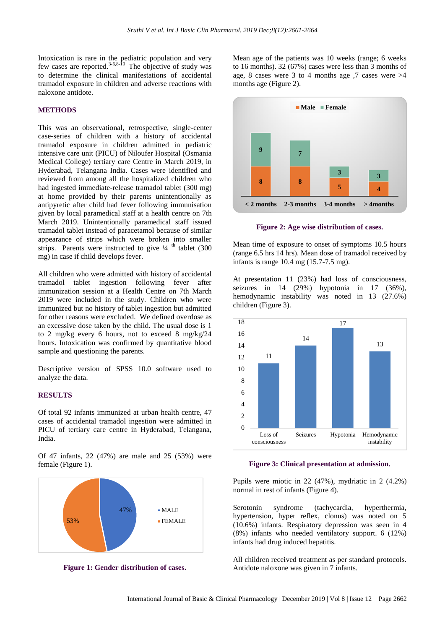Intoxication is rare in the pediatric population and very few cases are reported.<sup>3-6,8-10</sup> The objective of study was to determine the clinical manifestations of accidental tramadol exposure in children and adverse reactions with naloxone antidote.

#### **METHODS**

This was an observational, retrospective, single-center case-series of children with a history of accidental tramadol exposure in children admitted in pediatric intensive care unit (PICU) of Niloufer Hospital (Osmania Medical College) tertiary care Centre in March 2019, in Hyderabad, Telangana India. Cases were identified and reviewed from among all the hospitalized children who had ingested immediate-release tramadol tablet (300 mg) at home provided by their parents unintentionally as antipyretic after child had fever following immunisation given by local paramedical staff at a health centre on 7th March 2019. Unintentionally paramedical staff issued tramadol tablet instead of paracetamol because of similar appearance of strips which were broken into smaller strips. Parents were instructed to give  $\frac{1}{4}$  <sup>th</sup> tablet (300) mg) in case if child develops fever.

All children who were admitted with history of accidental tramadol tablet ingestion following fever after immunization session at a Health Centre on 7th March 2019 were included in the study. Children who were immunized but no history of tablet ingestion but admitted for other reasons were excluded. We defined overdose as an excessive dose taken by the child. The usual dose is 1 to 2 mg/kg every 6 hours, not to exceed 8 mg/kg/24 hours. Intoxication was confirmed by quantitative blood sample and questioning the parents.

Descriptive version of SPSS 10.0 software used to analyze the data.

#### **RESULTS**

Of total 92 infants immunized at urban health centre, 47 cases of accidental tramadol ingestion were admitted in PICU of tertiary care centre in Hyderabad, Telangana, India.

Of 47 infants, 22 (47%) are male and 25 (53%) were female (Figure 1).



**Figure 1: Gender distribution of cases.**

Mean age of the patients was 10 weeks (range; 6 weeks to 16 months). 32 (67%) cases were less than 3 months of age, 8 cases were 3 to 4 months age  $,7$  cases were  $>4$ months age (Figure 2).



**Figure 2: Age wise distribution of cases.**

Mean time of exposure to onset of symptoms 10.5 hours (range 6.5 hrs 14 hrs). Mean dose of tramadol received by infants is range 10.4 mg (15.7-7.5 mg).

At presentation 11 (23%) had loss of consciousness, seizures in 14 (29%) hypotonia in 17 (36%), hemodynamic instability was noted in 13 (27.6%) children (Figure 3).



**Figure 3: Clinical presentation at admission.**

Pupils were miotic in 22 (47%), mydriatic in 2 (4.2%) normal in rest of infants (Figure 4).

Serotonin syndrome (tachycardia, hyperthermia, hypertension, hyper reflex, clonus) was noted on 5 (10.6%) infants. Respiratory depression was seen in 4 (8%) infants who needed ventilatory support. 6 (12%) infants had drug induced hepatitis.

All children received treatment as per standard protocols. Antidote naloxone was given in 7 infants.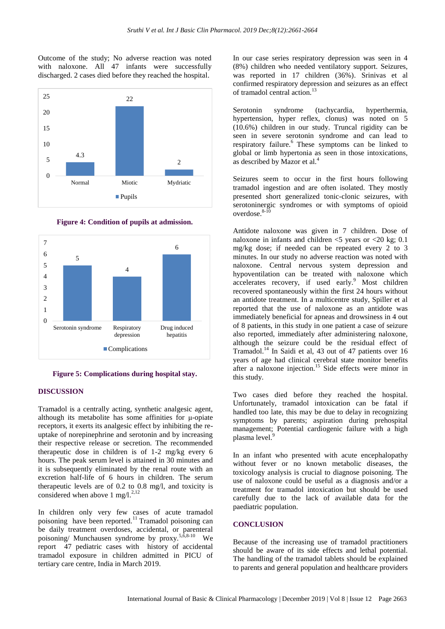Outcome of the study; No adverse reaction was noted with naloxone. All 47 infants were successfully discharged. 2 cases died before they reached the hospital.



**Figure 4: Condition of pupils at admission.**



**Figure 5: Complications during hospital stay.**

#### **DISCUSSION**

Tramadol is a centrally acting, synthetic analgesic agent, although its metabolite has some affinities for μ-opiate receptors, it exerts its analgesic effect by inhibiting the reuptake of norepinephrine and serotonin and by increasing their respective release or secretion. The recommended therapeutic dose in children is of 1-2 mg/kg every 6 hours. The peak serum level is attained in 30 minutes and it is subsequently eliminated by the renal route with an excretion half-life of 6 hours in children. The serum therapeutic levels are of 0.2 to 0.8 mg/l, and toxicity is considered when above 1 mg/l.<sup>2,12</sup>

In children only very few cases of acute tramadol poisoning have been reported.<sup>11</sup> Tramadol poisoning can be daily treatment overdoses, accidental, or parenteral poisoning/ Munchausen syndrome by proxy.<sup>5, $\delta$ ,8-10</sup> We report 47 pediatric cases with history of accidental tramadol exposure in children admitted in PICU of tertiary care centre, India in March 2019.

In our case series respiratory depression was seen in 4 (8%) children who needed ventilatory support. Seizures, was reported in 17 children (36%). Srinivas et al confirmed respiratory depression and seizures as an effect of tramadol central action.<sup>13</sup>

Serotonin syndrome (tachycardia, hyperthermia, hypertension, hyper reflex, clonus) was noted on 5 (10.6%) children in our study. Truncal rigidity can be seen in severe serotonin syndrome and can lead to respiratory failure.<sup>6</sup> These symptoms can be linked to global or limb hypertonia as seen in those intoxications, as described by Mazor et al.<sup>4</sup>

Seizures seem to occur in the first hours following tramadol ingestion and are often isolated. They mostly presented short generalized tonic-clonic seizures, with serotoninergic syndromes or with symptoms of opioid overdose.<sup>8-10</sup>

Antidote naloxone was given in 7 children. Dose of naloxone in infants and children <5 years or <20 kg; 0.1 mg/kg dose; if needed can be repeated every 2 to 3 minutes. In our study no adverse reaction was noted with naloxone. Central nervous system depression and hypoventilation can be treated with naloxone which accelerates recovery, if used early. $9$  Most children recovered spontaneously within the first 24 hours without an antidote treatment. In a multicentre study, Spiller et al reported that the use of naloxone as an antidote was immediately beneficial for apneas and drowsiness in 4 out of 8 patients, in this study in one patient a case of seizure also reported, immediately after administering naloxone, although the seizure could be the residual effect of Tramadol.<sup>14</sup> In Saidi et al, 43 out of 47 patients over 16 years of age had clinical cerebral state monitor benefits after a naloxone injection.<sup>15</sup> Side effects were minor in this study.

Two cases died before they reached the hospital. Unfortunately, tramadol intoxication can be fatal if handled too late, this may be due to delay in recognizing symptoms by parents; aspiration during prehospital management; Potential cardiogenic failure with a high plasma level.<sup>9</sup>

In an infant who presented with acute encephalopathy without fever or no known metabolic diseases, the toxicology analysis is crucial to diagnose poisoning. The use of naloxone could be useful as a diagnosis and/or a treatment for tramadol intoxication but should be used carefully due to the lack of available data for the paediatric population.

#### **CONCLUSION**

Because of the increasing use of tramadol practitioners should be aware of its side effects and lethal potential. The handling of the tramadol tablets should be explained to parents and general population and healthcare providers